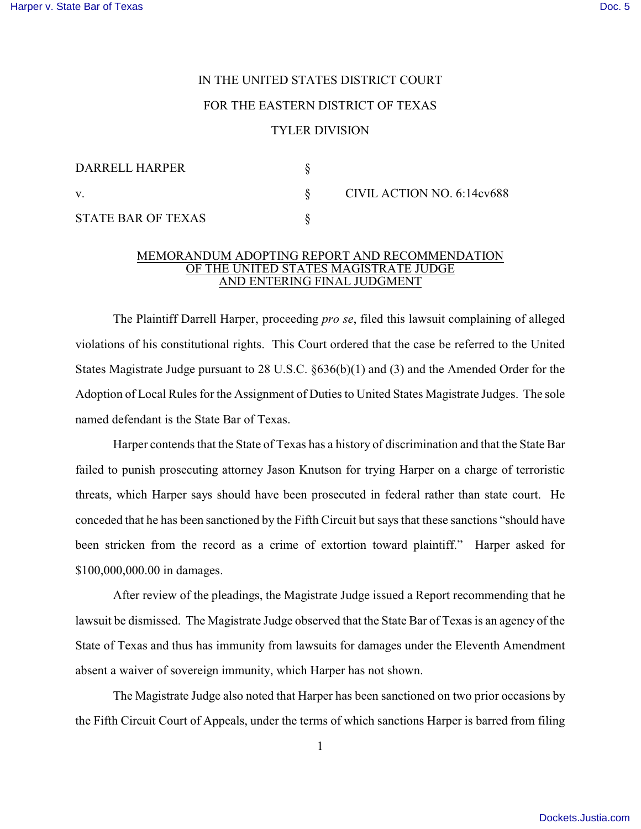## IN THE UNITED STATES DISTRICT COURT FOR THE EASTERN DISTRICT OF TEXAS TYLER DIVISION

| DARRELL HARPER            |                            |
|---------------------------|----------------------------|
| V.                        | CIVIL ACTION NO. 6:14cv688 |
| <b>STATE BAR OF TEXAS</b> |                            |

## MEMORANDUM ADOPTING REPORT AND RECOMMENDATION OF THE UNITED STATES MAGISTRATE JUDGE AND ENTERING FINAL JUDGMENT

The Plaintiff Darrell Harper, proceeding *pro se*, filed this lawsuit complaining of alleged violations of his constitutional rights. This Court ordered that the case be referred to the United States Magistrate Judge pursuant to 28 U.S.C. §636(b)(1) and (3) and the Amended Order for the Adoption of Local Rules for the Assignment of Duties to United States Magistrate Judges. The sole named defendant is the State Bar of Texas.

Harper contends that the State of Texas has a history of discrimination and that the State Bar failed to punish prosecuting attorney Jason Knutson for trying Harper on a charge of terroristic threats, which Harper says should have been prosecuted in federal rather than state court. He conceded that he has been sanctioned by the Fifth Circuit but says that these sanctions "should have been stricken from the record as a crime of extortion toward plaintiff." Harper asked for \$100,000,000.00 in damages.

After review of the pleadings, the Magistrate Judge issued a Report recommending that he lawsuit be dismissed. The Magistrate Judge observed that the State Bar of Texas is an agency of the State of Texas and thus has immunity from lawsuits for damages under the Eleventh Amendment absent a waiver of sovereign immunity, which Harper has not shown.

The Magistrate Judge also noted that Harper has been sanctioned on two prior occasions by the Fifth Circuit Court of Appeals, under the terms of which sanctions Harper is barred from filing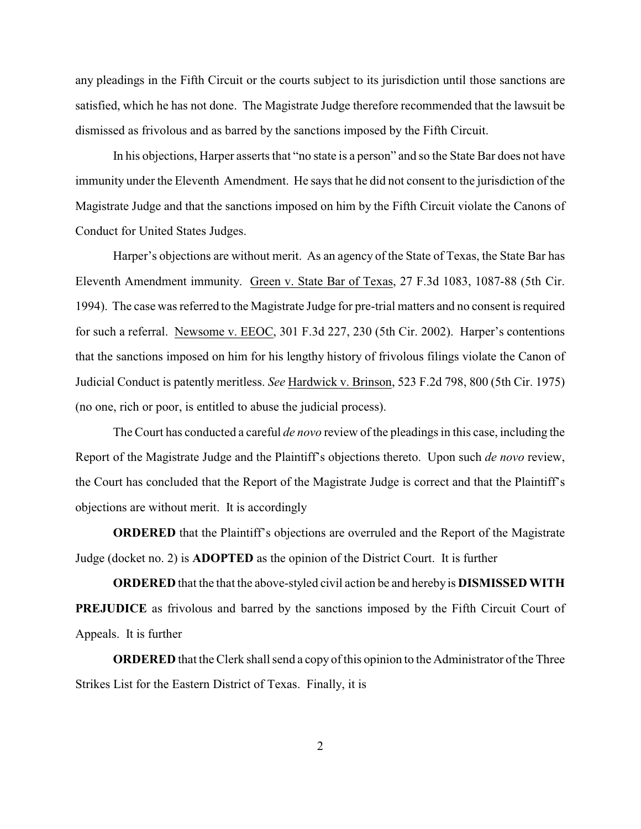any pleadings in the Fifth Circuit or the courts subject to its jurisdiction until those sanctions are satisfied, which he has not done. The Magistrate Judge therefore recommended that the lawsuit be dismissed as frivolous and as barred by the sanctions imposed by the Fifth Circuit.

In his objections, Harper asserts that "no state is a person" and so the State Bar does not have immunity under the Eleventh Amendment. He says that he did not consent to the jurisdiction of the Magistrate Judge and that the sanctions imposed on him by the Fifth Circuit violate the Canons of Conduct for United States Judges.

Harper's objections are without merit. As an agency of the State of Texas, the State Bar has Eleventh Amendment immunity. Green v. State Bar of Texas, 27 F.3d 1083, 1087-88 (5th Cir. 1994). The case was referred to the Magistrate Judge for pre-trial matters and no consent is required for such a referral. Newsome v. EEOC, 301 F.3d 227, 230 (5th Cir. 2002). Harper's contentions that the sanctions imposed on him for his lengthy history of frivolous filings violate the Canon of Judicial Conduct is patently meritless. *See* Hardwick v. Brinson, 523 F.2d 798, 800 (5th Cir. 1975) (no one, rich or poor, is entitled to abuse the judicial process).

The Court has conducted a careful *de novo* review of the pleadings in this case, including the Report of the Magistrate Judge and the Plaintiff's objections thereto. Upon such *de novo* review, the Court has concluded that the Report of the Magistrate Judge is correct and that the Plaintiff's objections are without merit. It is accordingly

**ORDERED** that the Plaintiff's objections are overruled and the Report of the Magistrate Judge (docket no. 2) is **ADOPTED** as the opinion of the District Court. It is further

**ORDERED** that the that the above-styled civil action be and hereby is **DISMISSED WITH PREJUDICE** as frivolous and barred by the sanctions imposed by the Fifth Circuit Court of Appeals. It is further

**ORDERED** that the Clerk shall send a copy of this opinion to the Administrator of the Three Strikes List for the Eastern District of Texas. Finally, it is